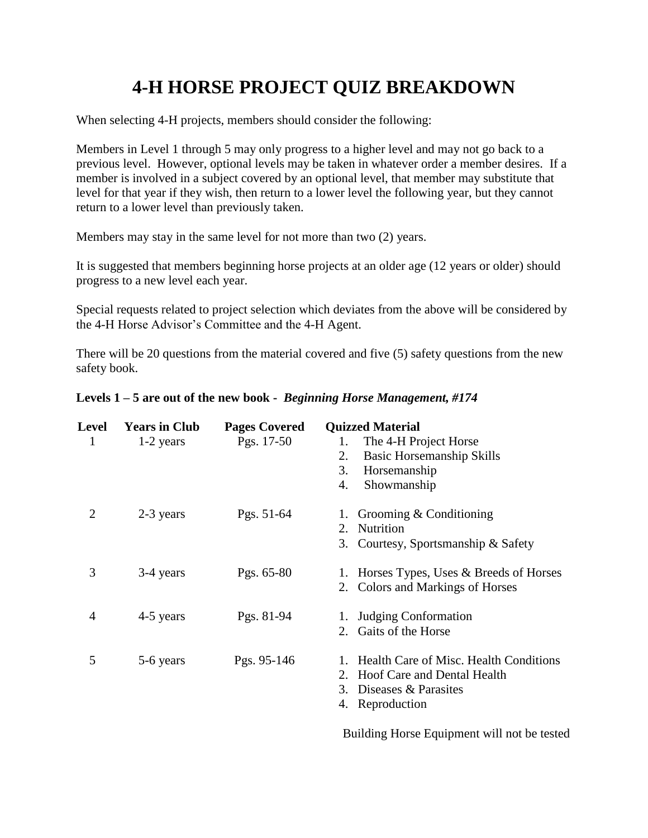## **4-H HORSE PROJECT QUIZ BREAKDOWN**

When selecting 4-H projects, members should consider the following:

Members in Level 1 through 5 may only progress to a higher level and may not go back to a previous level. However, optional levels may be taken in whatever order a member desires. If a member is involved in a subject covered by an optional level, that member may substitute that level for that year if they wish, then return to a lower level the following year, but they cannot return to a lower level than previously taken.

Members may stay in the same level for not more than two (2) years.

It is suggested that members beginning horse projects at an older age (12 years or older) should progress to a new level each year.

Special requests related to project selection which deviates from the above will be considered by the 4-H Horse Advisor's Committee and the 4-H Agent.

There will be 20 questions from the material covered and five (5) safety questions from the new safety book.

| <b>Level</b>   | <b>Years in Club</b> | <b>Pages Covered</b> | <b>Quizzed Material</b>                  |
|----------------|----------------------|----------------------|------------------------------------------|
| 1              | $1-2$ years          | Pgs. 17-50           | The 4-H Project Horse<br>1.              |
|                |                      |                      | <b>Basic Horsemanship Skills</b><br>2.   |
|                |                      |                      | 3.<br>Horsemanship                       |
|                |                      |                      | Showmanship<br>4.                        |
| $\overline{2}$ | 2-3 years            | Pgs. 51-64           | Grooming $&$ Conditioning                |
|                |                      |                      | Nutrition<br>2.                          |
|                |                      |                      | 3. Courtesy, Sportsmanship & Safety      |
| 3              | 3-4 years            | Pgs. $65-80$         | 1. Horses Types, Uses & Breeds of Horses |
|                |                      |                      | 2. Colors and Markings of Horses         |
| 4              | 4-5 years            | Pgs. 81-94           | <b>Judging Conformation</b>              |
|                |                      |                      | Gaits of the Horse<br>2.                 |
| 5              | 5-6 years            | Pgs. 95-146          | Health Care of Misc. Health Conditions   |
|                |                      |                      | Hoof Care and Dental Health<br>2.        |
|                |                      |                      | Diseases & Parasites<br>3.               |
|                |                      |                      | 4. Reproduction                          |
|                |                      |                      | $\sim$ $\sim$ $\sim$ $\sim$              |

## **Levels 1 – 5 are out of the new book -** *Beginning Horse Management, #174*

Building Horse Equipment will not be tested